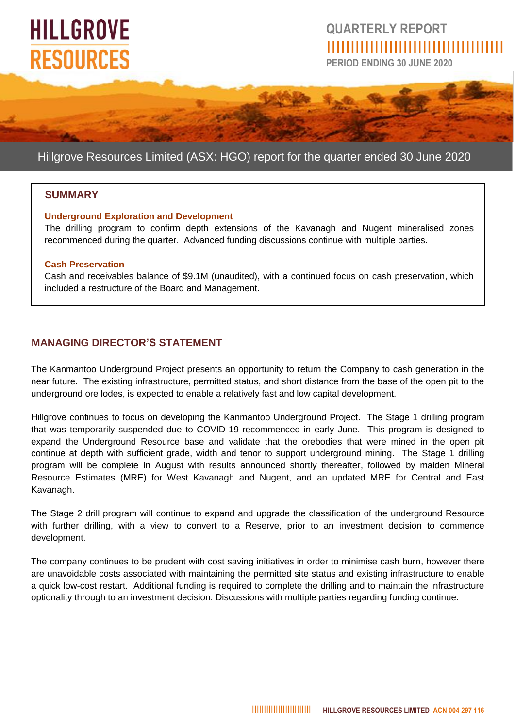# **HILLGROVE RESOURCES**

## **QUARTERLY REPORT** IIIIIIIIIIIIIIIIIIIIIIIIIIIIIIIIIIIII

**PERIOD ENDING 30 JUNE 2020**

### Hillgrove Resources Limited (ASX: HGO) report for the quarter ended 30 June 2020

#### **SUMMARY**

#### **Underground Exploration and Development**

The drilling program to confirm depth extensions of the Kavanagh and Nugent mineralised zones recommenced during the quarter. Advanced funding discussions continue with multiple parties.

#### **Cash Preservation**

Cash and receivables balance of \$9.1M (unaudited), with a continued focus on cash preservation, which included a restructure of the Board and Management.

#### **MANAGING DIRECTOR'S STATEMENT**

The Kanmantoo Underground Project presents an opportunity to return the Company to cash generation in the near future. The existing infrastructure, permitted status, and short distance from the base of the open pit to the underground ore lodes, is expected to enable a relatively fast and low capital development.

Hillgrove continues to focus on developing the Kanmantoo Underground Project. The Stage 1 drilling program that was temporarily suspended due to COVID-19 recommenced in early June. This program is designed to expand the Underground Resource base and validate that the orebodies that were mined in the open pit continue at depth with sufficient grade, width and tenor to support underground mining. The Stage 1 drilling program will be complete in August with results announced shortly thereafter, followed by maiden Mineral Resource Estimates (MRE) for West Kavanagh and Nugent, and an updated MRE for Central and East Kavanagh.

The Stage 2 drill program will continue to expand and upgrade the classification of the underground Resource with further drilling, with a view to convert to a Reserve, prior to an investment decision to commence development.

The company continues to be prudent with cost saving initiatives in order to minimise cash burn, however there are unavoidable costs associated with maintaining the permitted site status and existing infrastructure to enable a quick low-cost restart. Additional funding is required to complete the drilling and to maintain the infrastructure optionality through to an investment decision. Discussions with multiple parties regarding funding continue.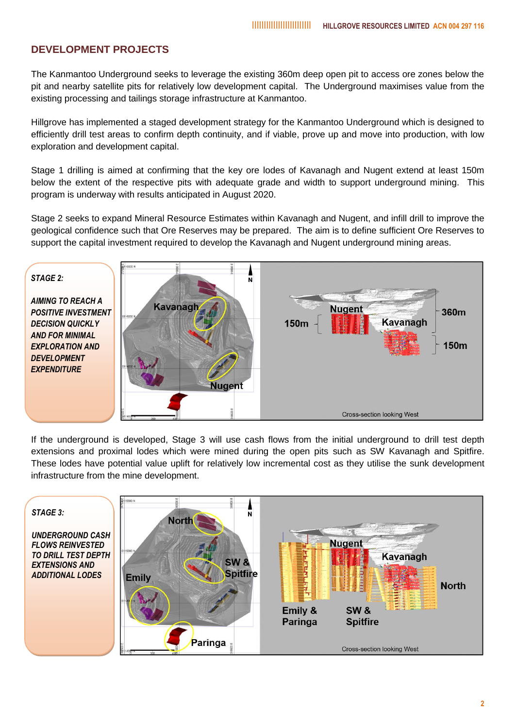#### **DEVELOPMENT PROJECTS**

The Kanmantoo Underground seeks to leverage the existing 360m deep open pit to access ore zones below the pit and nearby satellite pits for relatively low development capital. The Underground maximises value from the existing processing and tailings storage infrastructure at Kanmantoo.

Hillgrove has implemented a staged development strategy for the Kanmantoo Underground which is designed to efficiently drill test areas to confirm depth continuity, and if viable, prove up and move into production, with low exploration and development capital.

Stage 1 drilling is aimed at confirming that the key ore lodes of Kavanagh and Nugent extend at least 150m below the extent of the respective pits with adequate grade and width to support underground mining. This program is underway with results anticipated in August 2020.

Stage 2 seeks to expand Mineral Resource Estimates within Kavanagh and Nugent, and infill drill to improve the geological confidence such that Ore Reserves may be prepared. The aim is to define sufficient Ore Reserves to support the capital investment required to develop the Kavanagh and Nugent underground mining areas.



If the underground is developed, Stage 3 will use cash flows from the initial underground to drill test depth extensions and proximal lodes which were mined during the open pits such as SW Kavanagh and Spitfire. These lodes have potential value uplift for relatively low incremental cost as they utilise the sunk development infrastructure from the mine development.

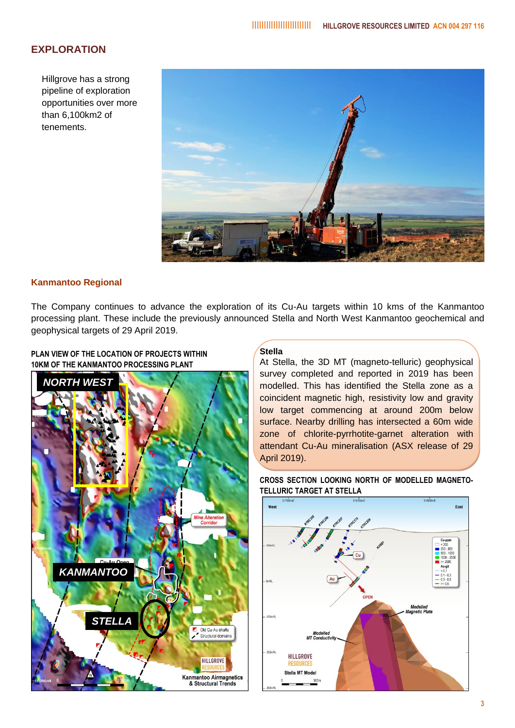#### **EXPLORATION**

Hillgrove has a strong pipeline of exploration opportunities over more than 6,100km2 of tenements.



#### **Kanmantoo Regional**

**PLAN VIEW OF THE LOCATION OF PROJECTS WITHIN** 

The Company continues to advance the exploration of its Cu-Au targets within 10 kms of the Kanmantoo processing plant. These include the previously announced Stella and North West Kanmantoo geochemical and geophysical targets of 29 April 2019.



#### **Stella**

At Stella, the 3D MT (magneto-telluric) geophysical survey completed and reported in 2019 has been modelled. This has identified the Stella zone as a coincident magnetic high, resistivity low and gravity low target commencing at around 200m below surface. Nearby drilling has intersected a 60m wide zone of chlorite-pyrrhotite-garnet alteration with attendant Cu-Au mineralisation (ASX release of 29 April 2019).



**CROSS SECTION LOOKING NORTH OF MODELLED MAGNETO-TELLURIC TARGET AT STELLA**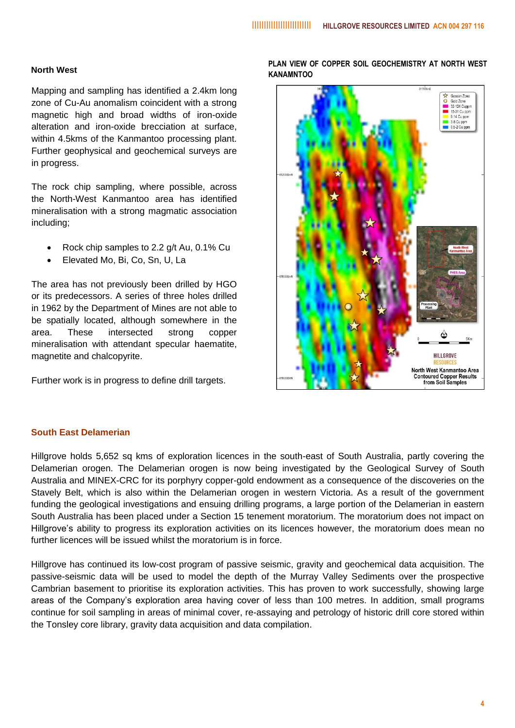#### **North West**

Mapping and sampling has identified a 2.4km long zone of Cu-Au anomalism coincident with a strong magnetic high and broad widths of iron-oxide alteration and iron-oxide brecciation at surface, within 4.5kms of the Kanmantoo processing plant. Further geophysical and geochemical surveys are in progress.

The rock chip sampling, where possible, across the North-West Kanmantoo area has identified mineralisation with a strong magmatic association including;

- Rock chip samples to 2.2 g/t Au, 0.1% Cu
- Elevated Mo, Bi, Co, Sn, U, La

The area has not previously been drilled by HGO or its predecessors. A series of three holes drilled in 1962 by the Department of Mines are not able to be spatially located, although somewhere in the area. These intersected strong copper mineralisation with attendant specular haematite, magnetite and chalcopyrite.

Further work is in progress to define drill targets.

#### **PLAN VIEW OF COPPER SOIL GEOCHEMISTRY AT NORTH WEST KANAMNTOO**



#### **South East Delamerian**

Hillgrove holds 5,652 sq kms of exploration licences in the south-east of South Australia, partly covering the Delamerian orogen. The Delamerian orogen is now being investigated by the Geological Survey of South Australia and MINEX-CRC for its porphyry copper-gold endowment as a consequence of the discoveries on the Stavely Belt, which is also within the Delamerian orogen in western Victoria. As a result of the government funding the geological investigations and ensuing drilling programs, a large portion of the Delamerian in eastern South Australia has been placed under a Section 15 tenement moratorium. The moratorium does not impact on Hillgrove's ability to progress its exploration activities on its licences however, the moratorium does mean no further licences will be issued whilst the moratorium is in force.

Hillgrove has continued its low-cost program of passive seismic, gravity and geochemical data acquisition. The passive-seismic data will be used to model the depth of the Murray Valley Sediments over the prospective Cambrian basement to prioritise its exploration activities. This has proven to work successfully, showing large areas of the Company's exploration area having cover of less than 100 metres. In addition, small programs continue for soil sampling in areas of minimal cover, re-assaying and petrology of historic drill core stored within the Tonsley core library, gravity data acquisition and data compilation.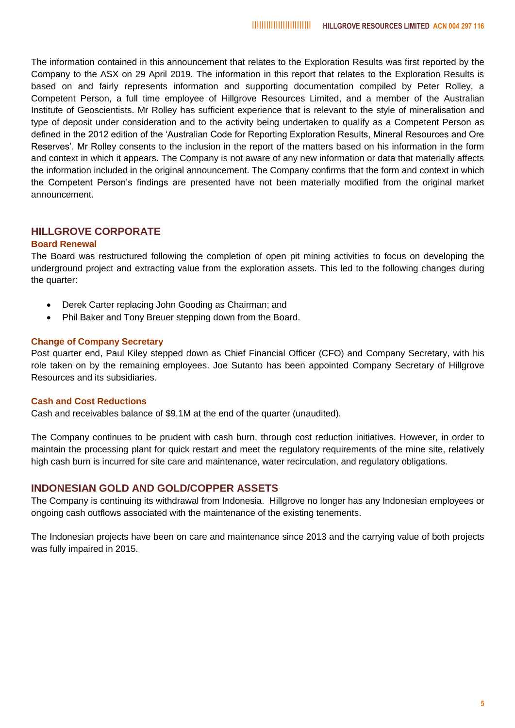The information contained in this announcement that relates to the Exploration Results was first reported by the Company to the ASX on 29 April 2019. The information in this report that relates to the Exploration Results is based on and fairly represents information and supporting documentation compiled by Peter Rolley, a Competent Person, a full time employee of Hillgrove Resources Limited, and a member of the Australian Institute of Geoscientists. Mr Rolley has sufficient experience that is relevant to the style of mineralisation and type of deposit under consideration and to the activity being undertaken to qualify as a Competent Person as defined in the 2012 edition of the 'Australian Code for Reporting Exploration Results, Mineral Resources and Ore Reserves'. Mr Rolley consents to the inclusion in the report of the matters based on his information in the form and context in which it appears. The Company is not aware of any new information or data that materially affects the information included in the original announcement. The Company confirms that the form and context in which the Competent Person's findings are presented have not been materially modified from the original market announcement.

#### **HILLGROVE CORPORATE**

#### **Board Renewal**

The Board was restructured following the completion of open pit mining activities to focus on developing the underground project and extracting value from the exploration assets. This led to the following changes during the quarter:

- Derek Carter replacing John Gooding as Chairman; and
- Phil Baker and Tony Breuer stepping down from the Board.

#### **Change of Company Secretary**

Post quarter end, Paul Kiley stepped down as Chief Financial Officer (CFO) and Company Secretary, with his role taken on by the remaining employees. Joe Sutanto has been appointed Company Secretary of Hillgrove Resources and its subsidiaries.

#### **Cash and Cost Reductions**

Cash and receivables balance of \$9.1M at the end of the quarter (unaudited).

The Company continues to be prudent with cash burn, through cost reduction initiatives. However, in order to maintain the processing plant for quick restart and meet the regulatory requirements of the mine site, relatively high cash burn is incurred for site care and maintenance, water recirculation, and regulatory obligations.

#### **INDONESIAN GOLD AND GOLD/COPPER ASSETS**

The Company is continuing its withdrawal from Indonesia. Hillgrove no longer has any Indonesian employees or ongoing cash outflows associated with the maintenance of the existing tenements.

The Indonesian projects have been on care and maintenance since 2013 and the carrying value of both projects was fully impaired in 2015.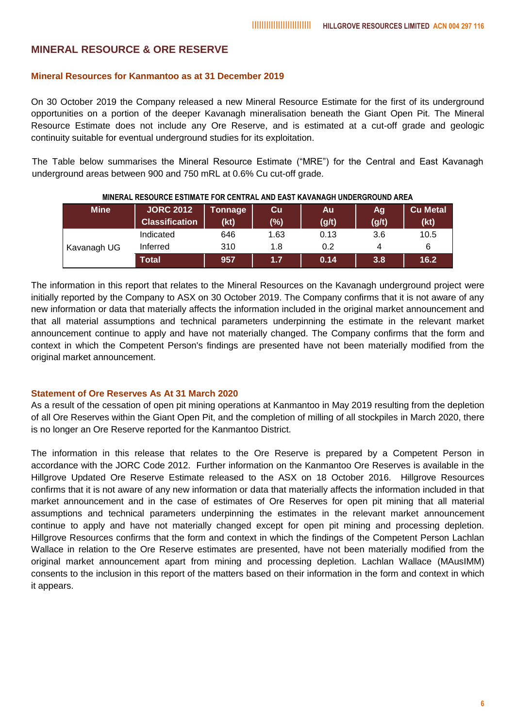#### **MINERAL RESOURCE & ORE RESERVE**

#### **Mineral Resources for Kanmantoo as at 31 December 2019**

On 30 October 2019 the Company released a new Mineral Resource Estimate for the first of its underground opportunities on a portion of the deeper Kavanagh mineralisation beneath the Giant Open Pit. The Mineral Resource Estimate does not include any Ore Reserve, and is estimated at a cut-off grade and geologic continuity suitable for eventual underground studies for its exploitation.

The Table below summarises the Mineral Resource Estimate ("MRE") for the Central and East Kavanagh underground areas between 900 and 750 mRL at 0.6% Cu cut-off grade.

| <b>Mine</b> | <b>JORC 2012</b><br><b>Classification</b> | Tonnage<br>(kt) | Cu<br>(%) | Au<br>(g/t) | Ag<br>(g/t) | <b>Cu Metal</b><br>(kt) |
|-------------|-------------------------------------------|-----------------|-----------|-------------|-------------|-------------------------|
| Kavanagh UG | Indicated                                 | 646             | 1.63      | 0.13        | 3.6         | 10.5                    |
|             | Inferred                                  | 310             | 1.8       | 0.2         | 4           | 6                       |
|             | Total                                     | 957             | 1.7       | 0.14        | 3.8         | 16.2                    |

**MINERAL RESOURCE ESTIMATE FOR CENTRAL AND EAST KAVANAGH UNDERGROUND AREA**

The information in this report that relates to the Mineral Resources on the Kavanagh underground project were initially reported by the Company to ASX on 30 October 2019. The Company confirms that it is not aware of any new information or data that materially affects the information included in the original market announcement and that all material assumptions and technical parameters underpinning the estimate in the relevant market announcement continue to apply and have not materially changed. The Company confirms that the form and context in which the Competent Person's findings are presented have not been materially modified from the original market announcement.

#### **Statement of Ore Reserves As At 31 March 2020**

As a result of the cessation of open pit mining operations at Kanmantoo in May 2019 resulting from the depletion of all Ore Reserves within the Giant Open Pit, and the completion of milling of all stockpiles in March 2020, there is no longer an Ore Reserve reported for the Kanmantoo District.

The information in this release that relates to the Ore Reserve is prepared by a Competent Person in accordance with the JORC Code 2012. Further information on the Kanmantoo Ore Reserves is available in the Hillgrove Updated Ore Reserve Estimate released to the ASX on 18 October 2016. Hillgrove Resources confirms that it is not aware of any new information or data that materially affects the information included in that market announcement and in the case of estimates of Ore Reserves for open pit mining that all material assumptions and technical parameters underpinning the estimates in the relevant market announcement continue to apply and have not materially changed except for open pit mining and processing depletion. Hillgrove Resources confirms that the form and context in which the findings of the Competent Person Lachlan Wallace in relation to the Ore Reserve estimates are presented, have not been materially modified from the original market announcement apart from mining and processing depletion. Lachlan Wallace (MAusIMM) consents to the inclusion in this report of the matters based on their information in the form and context in which it appears.